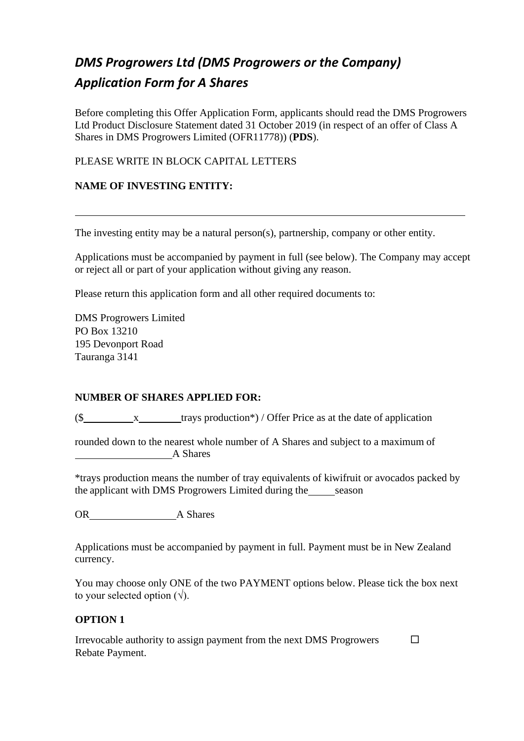# *DMS Progrowers Ltd (DMS Progrowers or the Company) Application Form for A Shares*

Before completing this Offer Application Form, applicants should read the DMS Progrowers Ltd Product Disclosure Statement dated 31 October 2019 (in respect of an offer of Class A Shares in DMS Progrowers Limited (OFR11778)) (**PDS**).

# PLEASE WRITE IN BLOCK CAPITAL LETTERS

# **NAME OF INVESTING ENTITY:**

The investing entity may be a natural person(s), partnership, company or other entity.

Applications must be accompanied by payment in full (see below). The Company may accept or reject all or part of your application without giving any reason.

Please return this application form and all other required documents to:

DMS Progrowers Limited PO Box 13210 195 Devonport Road Tauranga 3141

# **NUMBER OF SHARES APPLIED FOR:**

 $(\text{\$}\_\text{x}\_\text{trays}\text{ production*})$  / Offer Price as at the date of application

rounded down to the nearest whole number of A Shares and subject to a maximum of A Shares

\*trays production means the number of tray equivalents of kiwifruit or avocados packed by the applicant with DMS Progrowers Limited during the season

OR A Shares

Applications must be accompanied by payment in full. Payment must be in New Zealand currency.

You may choose only ONE of the two PAYMENT options below. Please tick the box next to your selected option  $(\sqrt{\ })$ .

 $\Box$ 

# **OPTION 1**

Irrevocable authority to assign payment from the next DMS Progrowers Rebate Payment.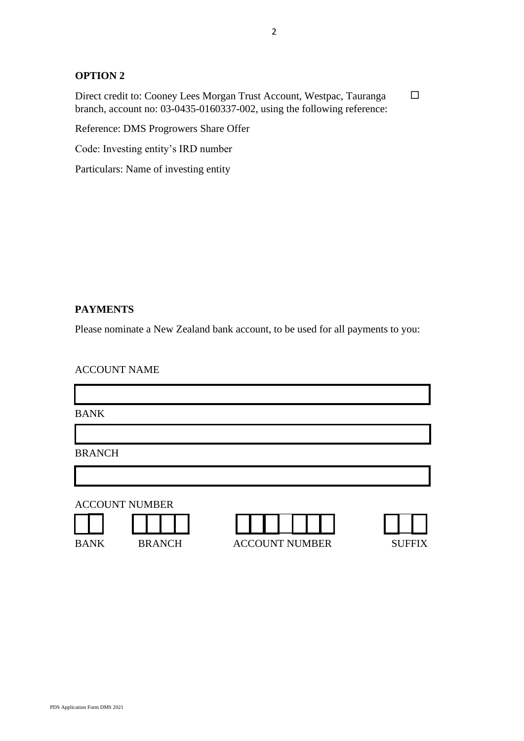## **OPTION 2**

Direct credit to: Cooney Lees Morgan Trust Account, Westpac, Tauranga branch, account no: 03-0435-0160337-002, using the following reference:  $\Box$ 

Reference: DMS Progrowers Share Offer

Code: Investing entity's IRD number

Particulars: Name of investing entity

## **PAYMENTS**

Please nominate a New Zealand bank account, to be used for all payments to you:

| <b>ACCOUNT NAME</b> |  |
|---------------------|--|
|---------------------|--|

BANK

BRANCH

ACCOUNT NUMBER





BANK BRANCH ACCOUNT NUMBER SUFFIX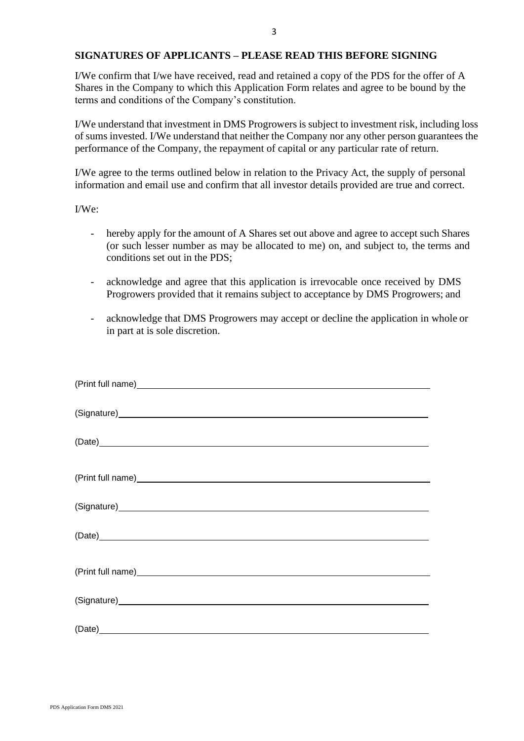#### **SIGNATURES OF APPLICANTS – PLEASE READ THIS BEFORE SIGNING**

I/We confirm that I/we have received, read and retained a copy of the PDS for the offer of A Shares in the Company to which this Application Form relates and agree to be bound by the terms and conditions of the Company's constitution.

I/We understand that investment in DMS Progrowers is subject to investment risk, including loss of sums invested. I/We understand that neither the Company nor any other person guarantees the performance of the Company, the repayment of capital or any particular rate of return.

I/We agree to the terms outlined below in relation to the Privacy Act, the supply of personal information and email use and confirm that all investor details provided are true and correct.

I/We:

- hereby apply for the amount of A Shares set out above and agree to accept such Shares (or such lesser number as may be allocated to me) on, and subject to, the terms and conditions set out in the PDS;
- acknowledge and agree that this application is irrevocable once received by DMS Progrowers provided that it remains subject to acceptance by DMS Progrowers; and
- acknowledge that DMS Progrowers may accept or decline the application in whole or in part at is sole discretion.

| (Date)                                                                                                                                                                                                                         |
|--------------------------------------------------------------------------------------------------------------------------------------------------------------------------------------------------------------------------------|
|                                                                                                                                                                                                                                |
| (Signature) Signature Contract Contract Contract Contract Contract Contract Contract Contract Contract Contract Contract Contract Contract Contract Contract Contract Contract Contract Contract Contract Contract Contract Co |
| (Date) experience and the contract of the contract of the contract of the contract of the contract of the contract of the contract of the contract of the contract of the contract of the contract of the contract of the cont |
|                                                                                                                                                                                                                                |
|                                                                                                                                                                                                                                |
|                                                                                                                                                                                                                                |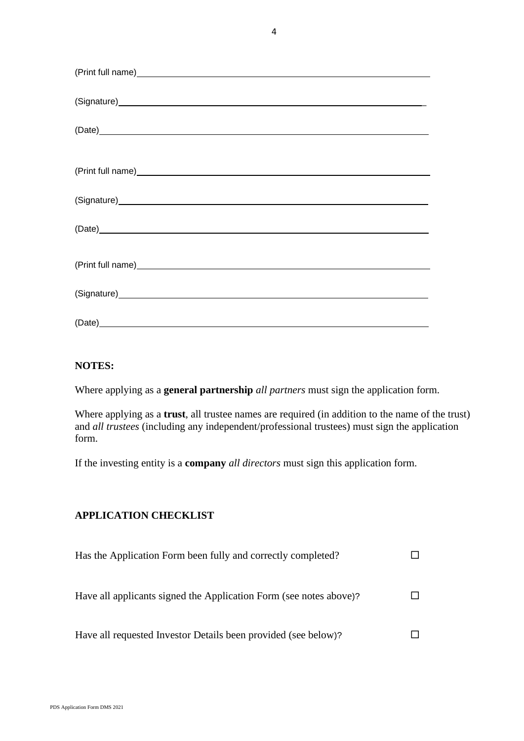| (Date)                                                                                                                                                                                                                         |
|--------------------------------------------------------------------------------------------------------------------------------------------------------------------------------------------------------------------------------|
|                                                                                                                                                                                                                                |
| (Signature) Samuel Contract Contract Contract Contract Contract Contract Contract Contract Contract Contract Contract Contract Contract Contract Contract Contract Contract Contract Contract Contract Contract Contract Contr |
|                                                                                                                                                                                                                                |
|                                                                                                                                                                                                                                |
| (Signature) Samuel Contract Contract Contract Contract Contract Contract Contract Contract Contract Contract Contract Contract Contract Contract Contract Contract Contract Contract Contract Contract Contract Contract Contr |
|                                                                                                                                                                                                                                |

### **NOTES:**

Where applying as a **general partnership** *all partners* must sign the application form.

Where applying as a **trust**, all trustee names are required (in addition to the name of the trust) and *all trustees* (including any independent/professional trustees) must sign the application form.

If the investing entity is a **company** *all directors* must sign this application form.

# **APPLICATION CHECKLIST**

| Has the Application Form been fully and correctly completed?       |  |
|--------------------------------------------------------------------|--|
| Have all applicants signed the Application Form (see notes above)? |  |
| Have all requested Investor Details been provided (see below)?     |  |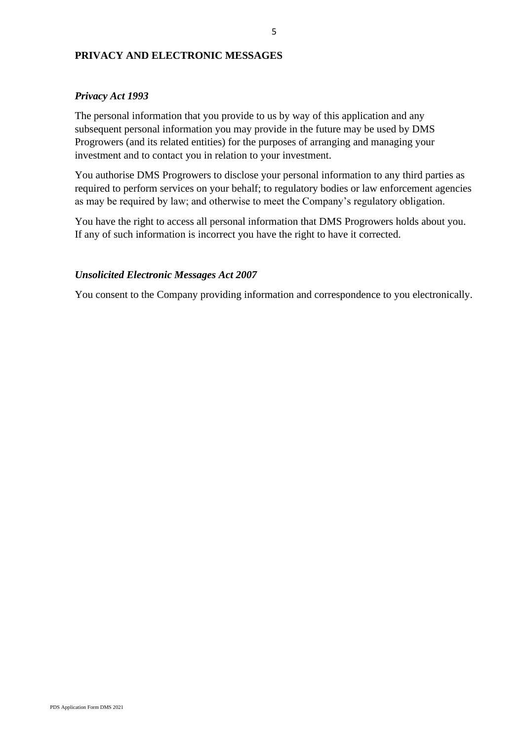## **PRIVACY AND ELECTRONIC MESSAGES**

## *Privacy Act 1993*

The personal information that you provide to us by way of this application and any subsequent personal information you may provide in the future may be used by DMS Progrowers (and its related entities) for the purposes of arranging and managing your investment and to contact you in relation to your investment.

You authorise DMS Progrowers to disclose your personal information to any third parties as required to perform services on your behalf; to regulatory bodies or law enforcement agencies as may be required by law; and otherwise to meet the Company's regulatory obligation.

You have the right to access all personal information that DMS Progrowers holds about you. If any of such information is incorrect you have the right to have it corrected.

## *Unsolicited Electronic Messages Act 2007*

You consent to the Company providing information and correspondence to you electronically.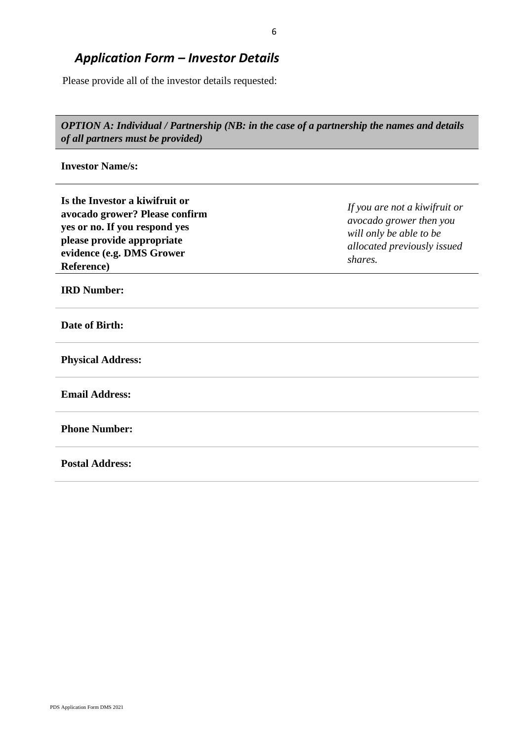# *Application Form – Investor Details*

Please provide all of the investor details requested:

*OPTION A: Individual / Partnership (NB: in the case of a partnership the names and details of all partners must be provided)*

**Investor Name/s:**

| Is the Investor a kiwifruit or<br>avocado grower? Please confirm<br>yes or no. If you respond yes<br>please provide appropriate<br>evidence (e.g. DMS Grower<br><b>Reference</b> ) | If you are not a kiwifruit or<br>avocado grower then you<br>will only be able to be<br>allocated previously issued<br>shares. |
|------------------------------------------------------------------------------------------------------------------------------------------------------------------------------------|-------------------------------------------------------------------------------------------------------------------------------|
| <b>IRD Number:</b>                                                                                                                                                                 |                                                                                                                               |
| Date of Birth:                                                                                                                                                                     |                                                                                                                               |
| <b>Physical Address:</b>                                                                                                                                                           |                                                                                                                               |
| <b>Email Address:</b>                                                                                                                                                              |                                                                                                                               |
| <b>Phone Number:</b>                                                                                                                                                               |                                                                                                                               |
| <b>Postal Address:</b>                                                                                                                                                             |                                                                                                                               |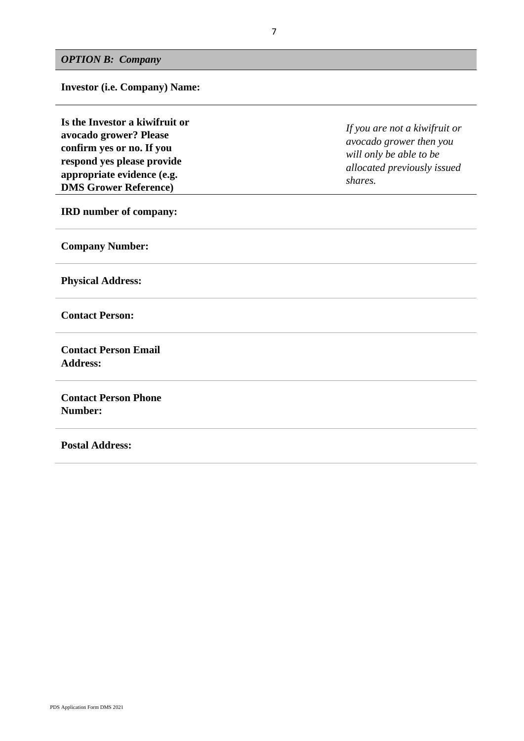**Investor (i.e. Company) Name:**

**Is the Investor a kiwifruit or avocado grower? Please confirm yes or no. If you respond yes please provide appropriate evidence (e.g. DMS Grower Reference)**

**IRD number of company:**

**Company Number:**

**Physical Address:**

**Contact Person:**

**Contact Person Email Address:**

**Contact Person Phone Number:**

**Postal Address:**

*If you are not a kiwifruit or avocado grower then you will only be able to be allocated previously issued shares.*